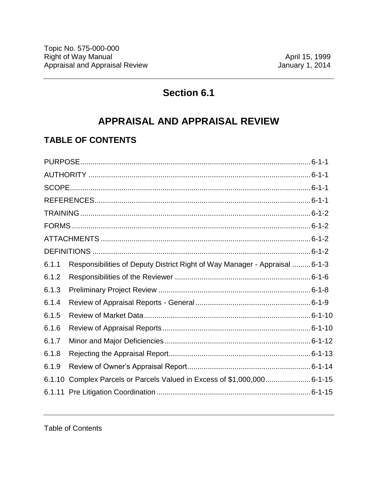# Section 6.1

# **APPRAISAL AND APPRAISAL REVIEW**

## **TABLE OF CONTENTS**

| 6.1.1  | Responsibilities of Deputy District Right of Way Manager - Appraisal 6-1-3 |
|--------|----------------------------------------------------------------------------|
| 6.1.2  |                                                                            |
| 6.1.3  |                                                                            |
| 6.1.4  |                                                                            |
| 6.1.5  |                                                                            |
| 6.1.6  |                                                                            |
| 6.1.7  |                                                                            |
| 6.1.8  |                                                                            |
| 6.1.9  |                                                                            |
| 6.1.10 | Complex Parcels or Parcels Valued in Excess of \$1,000,0006-1-15           |
|        |                                                                            |
|        |                                                                            |

**Table of Contents**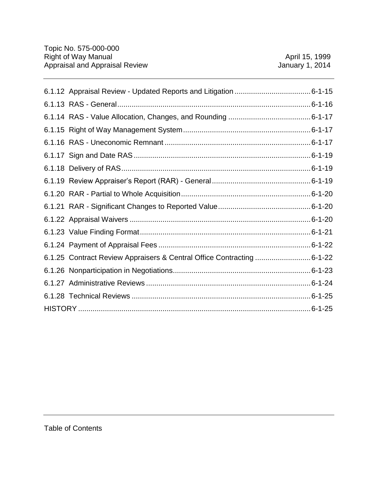|  | 6.1.25 Contract Review Appraisers & Central Office Contracting 6-1-22 |  |
|--|-----------------------------------------------------------------------|--|
|  |                                                                       |  |
|  |                                                                       |  |
|  |                                                                       |  |
|  |                                                                       |  |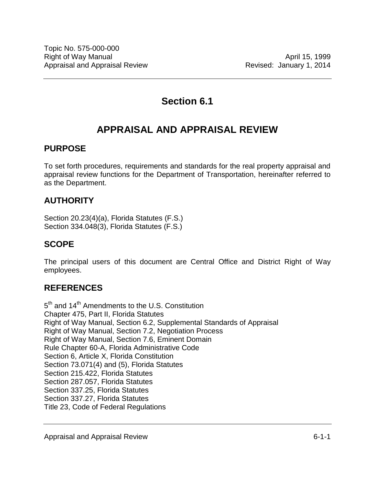# **Section 6.1**

# **APPRAISAL AND APPRAISAL REVIEW**

### <span id="page-2-0"></span>**PURPOSE**

To set forth procedures, requirements and standards for the real property appraisal and appraisal review functions for the Department of Transportation, hereinafter referred to as the Department.

#### <span id="page-2-1"></span>**AUTHORITY**

Section 20.23(4)(a), Florida Statutes (F.S.) Section 334.048(3), Florida Statutes (F.S.)

### <span id="page-2-2"></span>**SCOPE**

The principal users of this document are Central Office and District Right of Way employees.

#### <span id="page-2-3"></span>**REFERENCES**

5<sup>th</sup> and 14<sup>th</sup> Amendments to the U.S. Constitution Chapter 475, Part II, Florida Statutes Right of Way Manual, Section 6.2, Supplemental Standards of Appraisal Right of Way Manual, Section 7.2, Negotiation Process Right of Way Manual, Section 7.6, Eminent Domain Rule Chapter 60-A, Florida Administrative Code Section 6, Article X, Florida Constitution Section 73.071(4) and (5), Florida Statutes Section 215.422, Florida Statutes Section 287.057, Florida Statutes Section 337.25, Florida Statutes Section 337.27, Florida Statutes Title 23, Code of Federal Regulations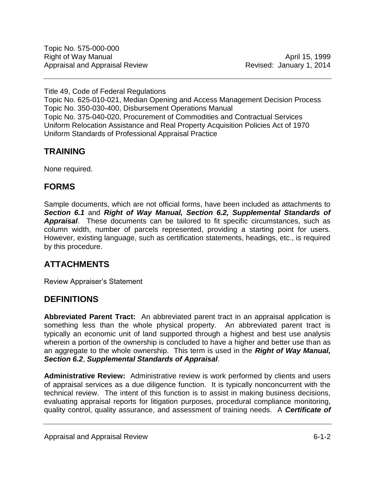Title 49, Code of Federal Regulations

Topic No. 625-010-021, Median Opening and Access Management Decision Process Topic No. 350-030-400, Disbursement Operations Manual Topic No. 375-040-020, Procurement of Commodities and Contractual Services Uniform Relocation Assistance and Real Property Acquisition Policies Act of 1970 Uniform Standards of Professional Appraisal Practice

### <span id="page-3-0"></span>**TRAINING**

None required.

### <span id="page-3-1"></span>**FORMS**

Sample documents, which are not official forms, have been included as attachments to *Section 6.1* and *Right of Way Manual, Section 6.2, Supplemental Standards of Appraisal*. These documents can be tailored to fit specific circumstances, such as column width, number of parcels represented, providing a starting point for users. However, existing language, such as certification statements, headings, etc., is required by this procedure.

## <span id="page-3-2"></span>**ATTACHMENTS**

Review Appraiser's Statement

### <span id="page-3-3"></span>**DEFINITIONS**

**Abbreviated Parent Tract:** An abbreviated parent tract in an appraisal application is something less than the whole physical property. An abbreviated parent tract is typically an economic unit of land supported through a highest and best use analysis wherein a portion of the ownership is concluded to have a higher and better use than as an aggregate to the whole ownership. This term is used in the *Right of Way Manual, Section 6.2*, *Supplemental Standards of Appraisal*.

**Administrative Review:** Administrative review is work performed by clients and users of appraisal services as a due diligence function. It is typically nonconcurrent with the technical review. The intent of this function is to assist in making business decisions, evaluating appraisal reports for litigation purposes, procedural compliance monitoring, quality control, quality assurance, and assessment of training needs. A *Certificate of*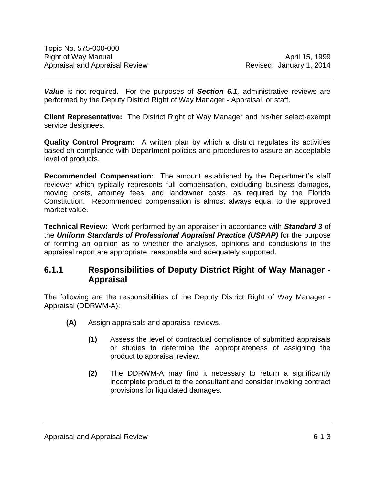*Value* is not required. For the purposes of *Section 6.1,* administrative reviews are performed by the Deputy District Right of Way Manager - Appraisal, or staff.

**Client Representative:** The District Right of Way Manager and his/her select-exempt service designees.

**Quality Control Program:** A written plan by which a district regulates its activities based on compliance with Department policies and procedures to assure an acceptable level of products.

**Recommended Compensation:** The amount established by the Department's staff reviewer which typically represents full compensation, excluding business damages, moving costs, attorney fees, and landowner costs, as required by the Florida Constitution. Recommended compensation is almost always equal to the approved market value.

**Technical Review:** Work performed by an appraiser in accordance with *Standard 3* of the *Uniform Standards of Professional Appraisal Practice (USPAP)* for the purpose of forming an opinion as to whether the analyses, opinions and conclusions in the appraisal report are appropriate, reasonable and adequately supported.

#### <span id="page-4-0"></span>**6.1.1 Responsibilities of Deputy District Right of Way Manager - Appraisal**

The following are the responsibilities of the Deputy District Right of Way Manager - Appraisal (DDRWM-A):

- **(A)** Assign appraisals and appraisal reviews.
	- **(1)** Assess the level of contractual compliance of submitted appraisals or studies to determine the appropriateness of assigning the product to appraisal review.
	- **(2)** The DDRWM-A may find it necessary to return a significantly incomplete product to the consultant and consider invoking contract provisions for liquidated damages.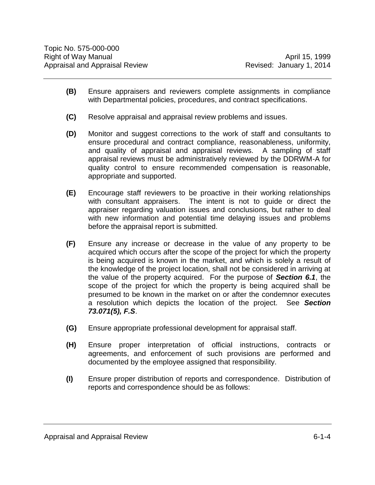- **(B)** Ensure appraisers and reviewers complete assignments in compliance with Departmental policies, procedures, and contract specifications.
- **(C)** Resolve appraisal and appraisal review problems and issues.
- **(D)** Monitor and suggest corrections to the work of staff and consultants to ensure procedural and contract compliance, reasonableness, uniformity, and quality of appraisal and appraisal reviews. A sampling of staff appraisal reviews must be administratively reviewed by the DDRWM-A for quality control to ensure recommended compensation is reasonable, appropriate and supported.
- **(E)** Encourage staff reviewers to be proactive in their working relationships with consultant appraisers. The intent is not to guide or direct the appraiser regarding valuation issues and conclusions, but rather to deal with new information and potential time delaying issues and problems before the appraisal report is submitted.
- **(F)** Ensure any increase or decrease in the value of any property to be acquired which occurs after the scope of the project for which the property is being acquired is known in the market, and which is solely a result of the knowledge of the project location, shall not be considered in arriving at the value of the property acquired. For the purpose of *Section 6.1*, the scope of the project for which the property is being acquired shall be presumed to be known in the market on or after the condemnor executes a resolution which depicts the location of the project. See *Section 73.071(5), F.S*.
- **(G)** Ensure appropriate professional development for appraisal staff.
- **(H)** Ensure proper interpretation of official instructions, contracts or agreements, and enforcement of such provisions are performed and documented by the employee assigned that responsibility.
- **(I)** Ensure proper distribution of reports and correspondence. Distribution of reports and correspondence should be as follows: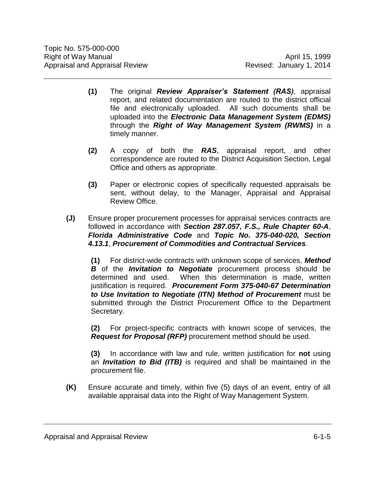- **(1)** The original *Review Appraiser's Statement (RAS)*, appraisal report, and related documentation are routed to the district official file and electronically uploaded. All such documents shall be uploaded into the *Electronic Data Management System (EDMS)* through the *Right of Way Management System (RWMS)* in a timely manner.
- **(2)** A copy of both the *RAS*, appraisal report, and other correspondence are routed to the District Acquisition Section, Legal Office and others as appropriate.
- **(3)** Paper or electronic copies of specifically requested appraisals be sent, without delay, to the Manager, Appraisal and Appraisal Review Office.
- **(J)** Ensure proper procurement processes for appraisal services contracts are followed in accordance with *Section 287.057, F.S., Rule Chapter 60-A*, *Florida Administrative Code* and *Topic No. 375-040-020, Section 4.13.1*, *Procurement of Commodities and Contractual Services*.

**(1)** For district-wide contracts with unknown scope of services, *Method B* of the *Invitation to Negotiate* procurement process should be determined and used. When this determination is made, written justification is required. *Procurement Form 375-040-67 Determination to Use Invitation to Negotiate (ITN) Method of Procurement* must be submitted through the District Procurement Office to the Department Secretary.

**(2)** For project-specific contracts with known scope of services, the *Request for Proposal (RFP)* procurement method should be used.

**(3)** In accordance with law and rule, written justification for **not** using an *Invitation to Bid (ITB)* is required and shall be maintained in the procurement file.

**(K)** Ensure accurate and timely, within five (5) days of an event, entry of all available appraisal data into the Right of Way Management System.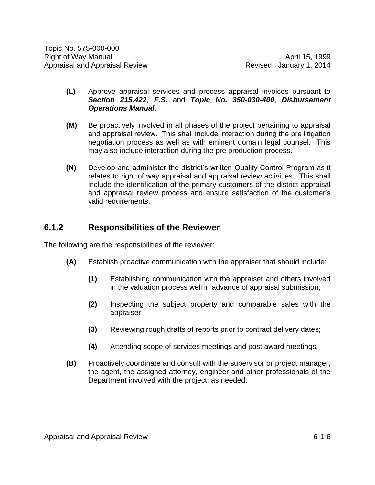- **(L)** Approve appraisal services and process appraisal invoices pursuant to *Section 215.422*, *F.S.* and *Topic No. 350-030-400*, *Disbursement Operations Manual*.
- **(M)** Be proactively involved in all phases of the project pertaining to appraisal and appraisal review. This shall include interaction during the pre litigation negotiation process as well as with eminent domain legal counsel. This may also include interaction during the pre production process.
- **(N)** Develop and administer the district's written Quality Control Program as it relates to right of way appraisal and appraisal review activities. This shall include the identification of the primary customers of the district appraisal and appraisal review process and ensure satisfaction of the customer's valid requirements.

#### <span id="page-7-0"></span>**6.1.2 Responsibilities of the Reviewer**

The following are the responsibilities of the reviewer:

- **(A)** Establish proactive communication with the appraiser that should include:
	- **(1)** Establishing communication with the appraiser and others involved in the valuation process well in advance of appraisal submission;
	- **(2)** Inspecting the subject property and comparable sales with the appraiser;
	- **(3)** Reviewing rough drafts of reports prior to contract delivery dates;
	- **(4)** Attending scope of services meetings and post award meetings.
- **(B)** Proactively coordinate and consult with the supervisor or project manager, the agent, the assigned attorney, engineer and other professionals of the Department involved with the project, as needed.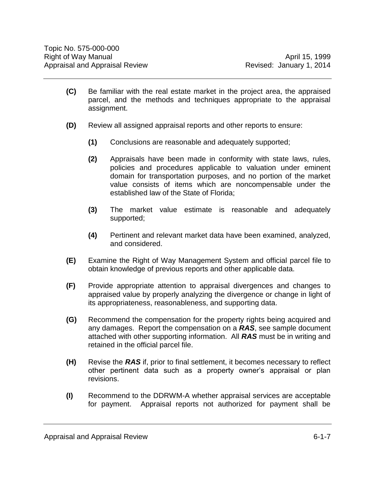- **(C)** Be familiar with the real estate market in the project area, the appraised parcel, and the methods and techniques appropriate to the appraisal assignment.
- **(D)** Review all assigned appraisal reports and other reports to ensure:
	- **(1)** Conclusions are reasonable and adequately supported;
	- **(2)** Appraisals have been made in conformity with state laws, rules, policies and procedures applicable to valuation under eminent domain for transportation purposes, and no portion of the market value consists of items which are noncompensable under the established law of the State of Florida;
	- **(3)** The market value estimate is reasonable and adequately supported;
	- **(4)** Pertinent and relevant market data have been examined, analyzed, and considered.
- **(E)** Examine the Right of Way Management System and official parcel file to obtain knowledge of previous reports and other applicable data.
- **(F)** Provide appropriate attention to appraisal divergences and changes to appraised value by properly analyzing the divergence or change in light of its appropriateness, reasonableness, and supporting data.
- **(G)** Recommend the compensation for the property rights being acquired and any damages. Report the compensation on a *RAS*, see sample document attached with other supporting information. All *RAS* must be in writing and retained in the official parcel file.
- **(H)** Revise the *RAS* if, prior to final settlement, it becomes necessary to reflect other pertinent data such as a property owner's appraisal or plan revisions.
- **(I)** Recommend to the DDRWM-A whether appraisal services are acceptable for payment. Appraisal reports not authorized for payment shall be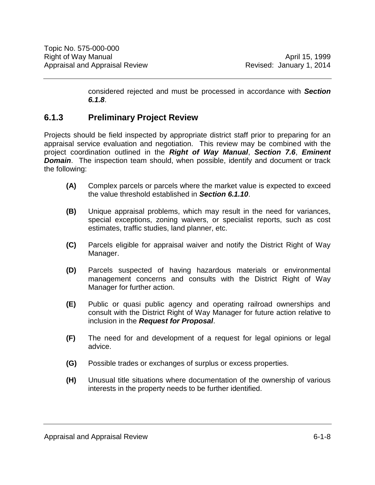considered rejected and must be processed in accordance with *Section 6.1.8*.

### <span id="page-9-0"></span>**6.1.3 Preliminary Project Review**

Projects should be field inspected by appropriate district staff prior to preparing for an appraisal service evaluation and negotiation. This review may be combined with the project coordination outlined in the *Right of Way Manual*, *Section 7.6*, *Eminent Domain*. The inspection team should, when possible, identify and document or track the following:

- **(A)** Complex parcels or parcels where the market value is expected to exceed the value threshold established in *Section 6.1.10*.
- **(B)** Unique appraisal problems, which may result in the need for variances, special exceptions, zoning waivers, or specialist reports, such as cost estimates, traffic studies, land planner, etc.
- **(C)** Parcels eligible for appraisal waiver and notify the District Right of Way Manager.
- **(D)** Parcels suspected of having hazardous materials or environmental management concerns and consults with the District Right of Way Manager for further action.
- **(E)** Public or quasi public agency and operating railroad ownerships and consult with the District Right of Way Manager for future action relative to inclusion in the *Request for Proposal*.
- **(F)** The need for and development of a request for legal opinions or legal advice.
- **(G)** Possible trades or exchanges of surplus or excess properties.
- **(H)** Unusual title situations where documentation of the ownership of various interests in the property needs to be further identified.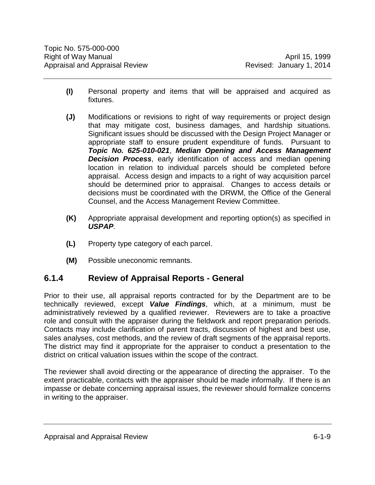- **(I)** Personal property and items that will be appraised and acquired as fixtures.
- **(J)** Modifications or revisions to right of way requirements or project design that may mitigate cost, business damages, and hardship situations. Significant issues should be discussed with the Design Project Manager or appropriate staff to ensure prudent expenditure of funds. Pursuant to *Topic No. 625-010-021*, *Median Opening and Access Management Decision Process*, early identification of access and median opening location in relation to individual parcels should be completed before appraisal. Access design and impacts to a right of way acquisition parcel should be determined prior to appraisal. Changes to access details or decisions must be coordinated with the DRWM, the Office of the General Counsel, and the Access Management Review Committee.
- **(K)** Appropriate appraisal development and reporting option(s) as specified in *USPAP.*
- **(L)** Property type category of each parcel.
- **(M)** Possible uneconomic remnants.

#### <span id="page-10-0"></span>**6.1.4 Review of Appraisal Reports - General**

Prior to their use, all appraisal reports contracted for by the Department are to be technically reviewed, except *Value Findings*, which, at a minimum, must be administratively reviewed by a qualified reviewer. Reviewers are to take a proactive role and consult with the appraiser during the fieldwork and report preparation periods. Contacts may include clarification of parent tracts, discussion of highest and best use, sales analyses, cost methods, and the review of draft segments of the appraisal reports. The district may find it appropriate for the appraiser to conduct a presentation to the district on critical valuation issues within the scope of the contract.

The reviewer shall avoid directing or the appearance of directing the appraiser. To the extent practicable, contacts with the appraiser should be made informally. If there is an impasse or debate concerning appraisal issues, the reviewer should formalize concerns in writing to the appraiser.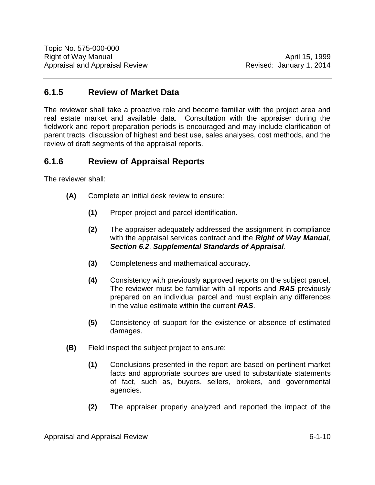### <span id="page-11-0"></span>**6.1.5 Review of Market Data**

The reviewer shall take a proactive role and become familiar with the project area and real estate market and available data. Consultation with the appraiser during the fieldwork and report preparation periods is encouraged and may include clarification of parent tracts, discussion of highest and best use, sales analyses, cost methods, and the review of draft segments of the appraisal reports.

#### <span id="page-11-1"></span>**6.1.6 Review of Appraisal Reports**

The reviewer shall:

- **(A)** Complete an initial desk review to ensure:
	- **(1)** Proper project and parcel identification.
	- **(2)** The appraiser adequately addressed the assignment in compliance with the appraisal services contract and the *Right of Way Manual*, *Section 6.2*, *Supplemental Standards of Appraisal*.
	- **(3)** Completeness and mathematical accuracy.
	- **(4)** Consistency with previously approved reports on the subject parcel. The reviewer must be familiar with all reports and *RAS* previously prepared on an individual parcel and must explain any differences in the value estimate within the current *RAS*.
	- **(5)** Consistency of support for the existence or absence of estimated damages.
- **(B)** Field inspect the subject project to ensure:
	- **(1)** Conclusions presented in the report are based on pertinent market facts and appropriate sources are used to substantiate statements of fact, such as, buyers, sellers, brokers, and governmental agencies.
	- **(2)** The appraiser properly analyzed and reported the impact of the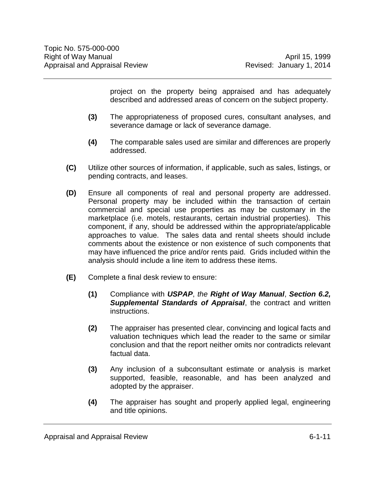project on the property being appraised and has adequately described and addressed areas of concern on the subject property.

- **(3)** The appropriateness of proposed cures, consultant analyses, and severance damage or lack of severance damage.
- **(4)** The comparable sales used are similar and differences are properly addressed.
- **(C)** Utilize other sources of information, if applicable, such as sales, listings, or pending contracts, and leases.
- **(D)** Ensure all components of real and personal property are addressed. Personal property may be included within the transaction of certain commercial and special use properties as may be customary in the marketplace (i.e. motels, restaurants, certain industrial properties). This component, if any, should be addressed within the appropriate/applicable approaches to value. The sales data and rental sheets should include comments about the existence or non existence of such components that may have influenced the price and/or rents paid. Grids included within the analysis should include a line item to address these items.
- **(E)** Complete a final desk review to ensure:
	- **(1)** Compliance with *USPAP*, *the Right of Way Manual*, *Section 6.2, Supplemental Standards of Appraisal*, the contract and written instructions.
	- **(2)** The appraiser has presented clear, convincing and logical facts and valuation techniques which lead the reader to the same or similar conclusion and that the report neither omits nor contradicts relevant factual data.
	- **(3)** Any inclusion of a subconsultant estimate or analysis is market supported, feasible, reasonable, and has been analyzed and adopted by the appraiser.
	- **(4)** The appraiser has sought and properly applied legal, engineering and title opinions.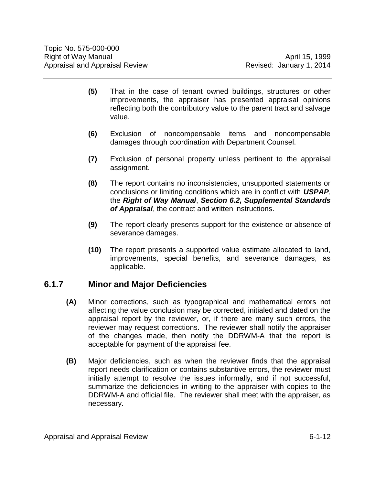- **(5)** That in the case of tenant owned buildings, structures or other improvements, the appraiser has presented appraisal opinions reflecting both the contributory value to the parent tract and salvage value.
- **(6)** Exclusion of noncompensable items and noncompensable damages through coordination with Department Counsel.
- **(7)** Exclusion of personal property unless pertinent to the appraisal assignment.
- **(8)** The report contains no inconsistencies, unsupported statements or conclusions or limiting conditions which are in conflict with *USPAP*, the *Right of Way Manual*, *Section 6.2, Supplemental Standards of Appraisal*, the contract and written instructions.
- **(9)** The report clearly presents support for the existence or absence of severance damages.
- **(10)** The report presents a supported value estimate allocated to land, improvements, special benefits, and severance damages, as applicable.

#### <span id="page-13-0"></span>**6.1.7 Minor and Major Deficiencies**

- **(A)** Minor corrections, such as typographical and mathematical errors not affecting the value conclusion may be corrected, initialed and dated on the appraisal report by the reviewer, or, if there are many such errors, the reviewer may request corrections. The reviewer shall notify the appraiser of the changes made, then notify the DDRWM-A that the report is acceptable for payment of the appraisal fee.
- **(B)** Major deficiencies, such as when the reviewer finds that the appraisal report needs clarification or contains substantive errors, the reviewer must initially attempt to resolve the issues informally, and if not successful, summarize the deficiencies in writing to the appraiser with copies to the DDRWM-A and official file. The reviewer shall meet with the appraiser, as necessary.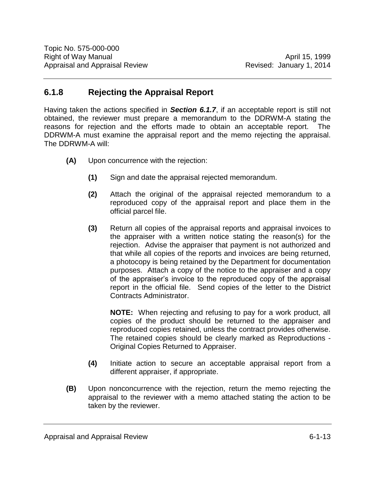### <span id="page-14-0"></span>**6.1.8 Rejecting the Appraisal Report**

Having taken the actions specified in *Section 6.1.7*, if an acceptable report is still not obtained, the reviewer must prepare a memorandum to the DDRWM-A stating the reasons for rejection and the efforts made to obtain an acceptable report. The DDRWM-A must examine the appraisal report and the memo rejecting the appraisal. The DDRWM-A will:

- **(A)** Upon concurrence with the rejection:
	- **(1)** Sign and date the appraisal rejected memorandum.
	- **(2)** Attach the original of the appraisal rejected memorandum to a reproduced copy of the appraisal report and place them in the official parcel file.
	- **(3)** Return all copies of the appraisal reports and appraisal invoices to the appraiser with a written notice stating the reason(s) for the rejection. Advise the appraiser that payment is not authorized and that while all copies of the reports and invoices are being returned, a photocopy is being retained by the Department for documentation purposes. Attach a copy of the notice to the appraiser and a copy of the appraiser's invoice to the reproduced copy of the appraisal report in the official file. Send copies of the letter to the District Contracts Administrator.

**NOTE:** When rejecting and refusing to pay for a work product, all copies of the product should be returned to the appraiser and reproduced copies retained, unless the contract provides otherwise. The retained copies should be clearly marked as Reproductions - Original Copies Returned to Appraiser.

- **(4)** Initiate action to secure an acceptable appraisal report from a different appraiser, if appropriate.
- **(B)** Upon nonconcurrence with the rejection, return the memo rejecting the appraisal to the reviewer with a memo attached stating the action to be taken by the reviewer.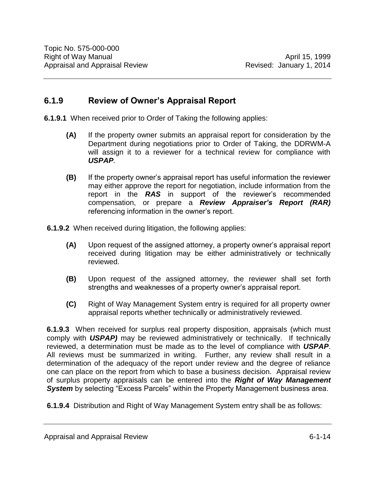#### <span id="page-15-0"></span>**6.1.9 Review of Owner's Appraisal Report**

**6.1.9.1** When received prior to Order of Taking the following applies:

- **(A)** If the property owner submits an appraisal report for consideration by the Department during negotiations prior to Order of Taking, the DDRWM-A will assign it to a reviewer for a technical review for compliance with *USPAP.*
- **(B)** If the property owner's appraisal report has useful information the reviewer may either approve the report for negotiation, include information from the report in the *RAS* in support of the reviewer's recommended compensation, or prepare a *Review Appraiser's Report (RAR)* referencing information in the owner's report.

**6.1.9.2** When received during litigation, the following applies:

- **(A)** Upon request of the assigned attorney, a property owner's appraisal report received during litigation may be either administratively or technically reviewed.
- **(B)** Upon request of the assigned attorney, the reviewer shall set forth strengths and weaknesses of a property owner's appraisal report.
- **(C)** Right of Way Management System entry is required for all property owner appraisal reports whether technically or administratively reviewed.

**6.1.9.3** When received for surplus real property disposition, appraisals (which must comply with *USPAP)* may be reviewed administratively or technically. If technically reviewed, a determination must be made as to the level of compliance with *USPAP*. All reviews must be summarized in writing. Further, any review shall result in a determination of the adequacy of the report under review and the degree of reliance one can place on the report from which to base a business decision. Appraisal review of surplus property appraisals can be entered into the *Right of Way Management*  **System** by selecting "Excess Parcels" within the Property Management business area.

**6.1.9.4** Distribution and Right of Way Management System entry shall be as follows: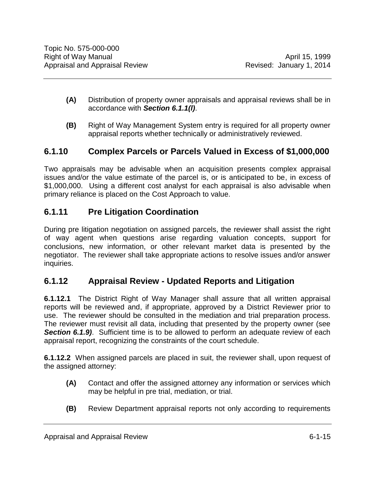- **(A)** Distribution of property owner appraisals and appraisal reviews shall be in accordance with *Section 6.1.1(l)*.
- **(B)** Right of Way Management System entry is required for all property owner appraisal reports whether technically or administratively reviewed.

### <span id="page-16-0"></span>**6.1.10 Complex Parcels or Parcels Valued in Excess of \$1,000,000**

Two appraisals may be advisable when an acquisition presents complex appraisal issues and/or the value estimate of the parcel is, or is anticipated to be, in excess of \$1,000,000. Using a different cost analyst for each appraisal is also advisable when primary reliance is placed on the Cost Approach to value.

### <span id="page-16-1"></span>**6.1.11 Pre Litigation Coordination**

During pre litigation negotiation on assigned parcels, the reviewer shall assist the right of way agent when questions arise regarding valuation concepts, support for conclusions, new information, or other relevant market data is presented by the negotiator. The reviewer shall take appropriate actions to resolve issues and/or answer inquiries.

#### <span id="page-16-2"></span>**6.1.12 Appraisal Review - Updated Reports and Litigation**

**6.1.12.1** The District Right of Way Manager shall assure that all written appraisal reports will be reviewed and, if appropriate, approved by a District Reviewer prior to use. The reviewer should be consulted in the mediation and trial preparation process. The reviewer must revisit all data, including that presented by the property owner (see **Section 6.1.9)**. Sufficient time is to be allowed to perform an adequate review of each appraisal report, recognizing the constraints of the court schedule.

**6.1.12.2** When assigned parcels are placed in suit, the reviewer shall, upon request of the assigned attorney:

- **(A)** Contact and offer the assigned attorney any information or services which may be helpful in pre trial, mediation, or trial.
- **(B)** Review Department appraisal reports not only according to requirements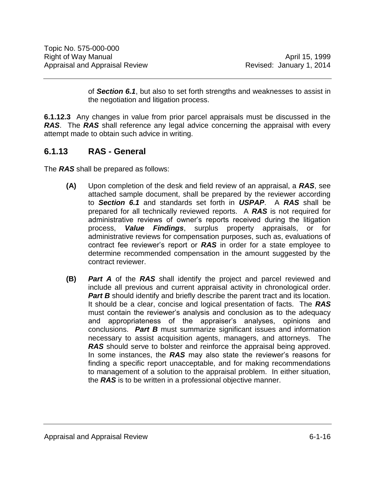of *Section 6.1*, but also to set forth strengths and weaknesses to assist in the negotiation and litigation process.

**6.1.12.3** Any changes in value from prior parcel appraisals must be discussed in the *RAS*. The *RAS* shall reference any legal advice concerning the appraisal with every attempt made to obtain such advice in writing.

#### <span id="page-17-0"></span>**6.1.13 RAS - General**

The *RAS* shall be prepared as follows:

- **(A)** Upon completion of the desk and field review of an appraisal, a *RAS*, see attached sample document, shall be prepared by the reviewer according to *Section 6.1* and standards set forth in *USPAP*. A *RAS* shall be prepared for all technically reviewed reports. A *RAS* is not required for administrative reviews of owner's reports received during the litigation process, *Value Findings*, surplus property appraisals, or for administrative reviews for compensation purposes, such as, evaluations of contract fee reviewer's report or *RAS* in order for a state employee to determine recommended compensation in the amount suggested by the contract reviewer.
- **(B)** *Part A* of the *RAS* shall identify the project and parcel reviewed and include all previous and current appraisal activity in chronological order. **Part B** should identify and briefly describe the parent tract and its location. It should be a clear, concise and logical presentation of facts. The *RAS* must contain the reviewer's analysis and conclusion as to the adequacy and appropriateness of the appraiser's analyses, opinions and conclusions. *Part B* must summarize significant issues and information necessary to assist acquisition agents, managers, and attorneys. The *RAS* should serve to bolster and reinforce the appraisal being approved. In some instances, the *RAS* may also state the reviewer's reasons for finding a specific report unacceptable, and for making recommendations to management of a solution to the appraisal problem. In either situation, the *RAS* is to be written in a professional objective manner.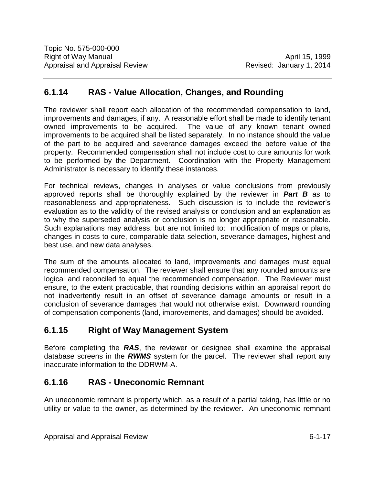### <span id="page-18-0"></span>**6.1.14 RAS - Value Allocation, Changes, and Rounding**

The reviewer shall report each allocation of the recommended compensation to land, improvements and damages, if any. A reasonable effort shall be made to identify tenant owned improvements to be acquired. The value of any known tenant owned improvements to be acquired shall be listed separately. In no instance should the value of the part to be acquired and severance damages exceed the before value of the property. Recommended compensation shall not include cost to cure amounts for work to be performed by the Department. Coordination with the Property Management Administrator is necessary to identify these instances.

For technical reviews, changes in analyses or value conclusions from previously approved reports shall be thoroughly explained by the reviewer in *Part B* as to reasonableness and appropriateness. Such discussion is to include the reviewer's evaluation as to the validity of the revised analysis or conclusion and an explanation as to why the superseded analysis or conclusion is no longer appropriate or reasonable. Such explanations may address, but are not limited to: modification of maps or plans, changes in costs to cure, comparable data selection, severance damages, highest and best use, and new data analyses.

The sum of the amounts allocated to land, improvements and damages must equal recommended compensation. The reviewer shall ensure that any rounded amounts are logical and reconciled to equal the recommended compensation. The Reviewer must ensure, to the extent practicable, that rounding decisions within an appraisal report do not inadvertently result in an offset of severance damage amounts or result in a conclusion of severance damages that would not otherwise exist. Downward rounding of compensation components (land, improvements, and damages) should be avoided.

## <span id="page-18-1"></span>**6.1.15 Right of Way Management System**

Before completing the *RAS*, the reviewer or designee shall examine the appraisal database screens in the *RWMS* system for the parcel. The reviewer shall report any inaccurate information to the DDRWM-A.

### <span id="page-18-2"></span>**6.1.16 RAS - Uneconomic Remnant**

An uneconomic remnant is property which, as a result of a partial taking, has little or no utility or value to the owner, as determined by the reviewer. An uneconomic remnant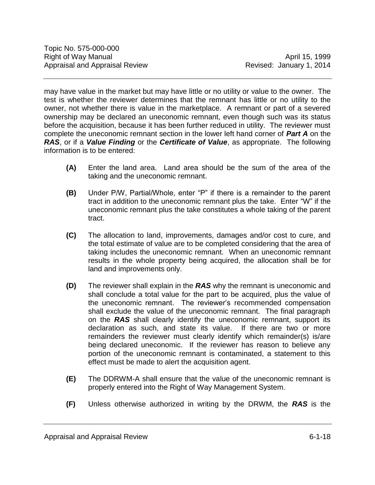may have value in the market but may have little or no utility or value to the owner. The test is whether the reviewer determines that the remnant has little or no utility to the owner, not whether there is value in the marketplace. A remnant or part of a severed ownership may be declared an uneconomic remnant, even though such was its status before the acquisition, because it has been further reduced in utility. The reviewer must complete the uneconomic remnant section in the lower left hand corner of *Part A* on the *RAS*, or if a *Value Finding* or the *Certificate of Value*, as appropriate. The following information is to be entered:

- **(A)** Enter the land area. Land area should be the sum of the area of the taking and the uneconomic remnant.
- **(B)** Under P/W, Partial/Whole, enter "P" if there is a remainder to the parent tract in addition to the uneconomic remnant plus the take. Enter "W" if the uneconomic remnant plus the take constitutes a whole taking of the parent tract.
- **(C)** The allocation to land, improvements, damages and/or cost to cure, and the total estimate of value are to be completed considering that the area of taking includes the uneconomic remnant. When an uneconomic remnant results in the whole property being acquired, the allocation shall be for land and improvements only.
- **(D)** The reviewer shall explain in the *RAS* why the remnant is uneconomic and shall conclude a total value for the part to be acquired, plus the value of the uneconomic remnant. The reviewer's recommended compensation shall exclude the value of the uneconomic remnant. The final paragraph on the *RAS* shall clearly identify the uneconomic remnant, support its declaration as such, and state its value. If there are two or more remainders the reviewer must clearly identify which remainder(s) is/are being declared uneconomic. If the reviewer has reason to believe any portion of the uneconomic remnant is contaminated, a statement to this effect must be made to alert the acquisition agent.
- **(E)** The DDRWM-A shall ensure that the value of the uneconomic remnant is properly entered into the Right of Way Management System.
- **(F)** Unless otherwise authorized in writing by the DRWM, the *RAS* is the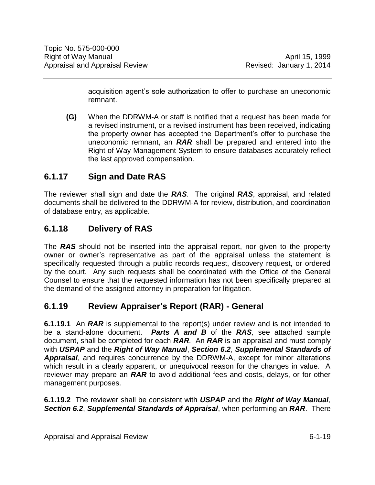acquisition agent's sole authorization to offer to purchase an uneconomic remnant.

**(G)** When the DDRWM-A or staff is notified that a request has been made for a revised instrument, or a revised instrument has been received, indicating the property owner has accepted the Department's offer to purchase the uneconomic remnant, an *RAR* shall be prepared and entered into the Right of Way Management System to ensure databases accurately reflect the last approved compensation.

### <span id="page-20-0"></span>**6.1.17 Sign and Date RAS**

The reviewer shall sign and date the *RAS*. The original *RAS*, appraisal, and related documents shall be delivered to the DDRWM-A for review, distribution, and coordination of database entry, as applicable.

### <span id="page-20-1"></span>**6.1.18 Delivery of RAS**

The *RAS* should not be inserted into the appraisal report, nor given to the property owner or owner's representative as part of the appraisal unless the statement is specifically requested through a public records request, discovery request, or ordered by the court. Any such requests shall be coordinated with the Office of the General Counsel to ensure that the requested information has not been specifically prepared at the demand of the assigned attorney in preparation for litigation.

### <span id="page-20-2"></span>**6.1.19 Review Appraiser's Report (RAR) - General**

**6.1.19.1** An *RAR* is supplemental to the report(s) under review and is not intended to be a stand-alone document. *Parts A and B* of the *RAS,* see attached sample document, shall be completed for each *RAR.* An *RAR* is an appraisal and must comply with *USPAP* and the *Right of Way Manual*, *Section 6.2*, *Supplemental Standards of Appraisal*, and requires concurrence by the DDRWM-A, except for minor alterations which result in a clearly apparent, or unequivocal reason for the changes in value. A reviewer may prepare an *RAR* to avoid additional fees and costs, delays, or for other management purposes.

**6.1.19.2** The reviewer shall be consistent with *USPAP* and the *Right of Way Manual*, *Section 6.2*, *Supplemental Standards of Appraisal*, when performing an *RAR*. There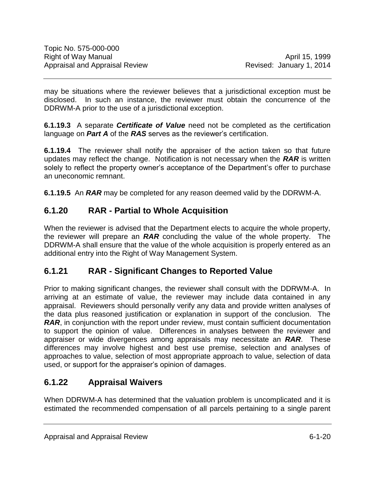may be situations where the reviewer believes that a jurisdictional exception must be disclosed. In such an instance, the reviewer must obtain the concurrence of the DDRWM-A prior to the use of a jurisdictional exception.

**6.1.19.3** A separate *Certificate of Value* need not be completed as the certification language on *Part A* of the *RAS* serves as the reviewer's certification.

**6.1.19.4** The reviewer shall notify the appraiser of the action taken so that future updates may reflect the change. Notification is not necessary when the *RAR* is written solely to reflect the property owner's acceptance of the Department's offer to purchase an uneconomic remnant.

**6.1.19.5** An *RAR* may be completed for any reason deemed valid by the DDRWM-A.

### <span id="page-21-0"></span>**6.1.20 RAR - Partial to Whole Acquisition**

When the reviewer is advised that the Department elects to acquire the whole property, the reviewer will prepare an *RAR* concluding the value of the whole property. The DDRWM-A shall ensure that the value of the whole acquisition is properly entered as an additional entry into the Right of Way Management System.

### <span id="page-21-1"></span>**6.1.21 RAR - Significant Changes to Reported Value**

Prior to making significant changes, the reviewer shall consult with the DDRWM-A. In arriving at an estimate of value, the reviewer may include data contained in any appraisal. Reviewers should personally verify any data and provide written analyses of the data plus reasoned justification or explanation in support of the conclusion. The *RAR*, in conjunction with the report under review, must contain sufficient documentation to support the opinion of value. Differences in analyses between the reviewer and appraiser or wide divergences among appraisals may necessitate an *RAR*. These differences may involve highest and best use premise, selection and analyses of approaches to value, selection of most appropriate approach to value, selection of data used, or support for the appraiser's opinion of damages.

### <span id="page-21-2"></span>**6.1.22 Appraisal Waivers**

When DDRWM-A has determined that the valuation problem is uncomplicated and it is estimated the recommended compensation of all parcels pertaining to a single parent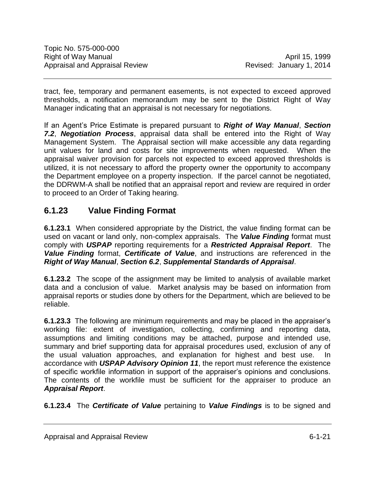tract, fee, temporary and permanent easements, is not expected to exceed approved thresholds, a notification memorandum may be sent to the District Right of Way Manager indicating that an appraisal is not necessary for negotiations.

If an Agent's Price Estimate is prepared pursuant to *Right of Way Manual*, *Section 7.2*, *Negotiation Process*, appraisal data shall be entered into the Right of Way Management System. The Appraisal section will make accessible any data regarding unit values for land and costs for site improvements when requested. When the appraisal waiver provision for parcels not expected to exceed approved thresholds is utilized, it is not necessary to afford the property owner the opportunity to accompany the Department employee on a property inspection. If the parcel cannot be negotiated, the DDRWM-A shall be notified that an appraisal report and review are required in order to proceed to an Order of Taking hearing.

### <span id="page-22-0"></span>**6.1.23 Value Finding Format**

**6.1.23.1** When considered appropriate by the District, the value finding format can be used on vacant or land only, non-complex appraisals. The *Value Finding* format must comply with *USPAP* reporting requirements for a *Restricted Appraisal Report*. The *Value Finding* format, *Certificate of Value*, and instructions are referenced in the *Right of Way Manual*, *Section 6.2*, *Supplemental Standards of Appraisal*.

**6.1.23.2** The scope of the assignment may be limited to analysis of available market data and a conclusion of value. Market analysis may be based on information from appraisal reports or studies done by others for the Department, which are believed to be reliable.

**6.1.23.3** The following are minimum requirements and may be placed in the appraiser's working file: extent of investigation, collecting, confirming and reporting data, assumptions and limiting conditions may be attached, purpose and intended use, summary and brief supporting data for appraisal procedures used, exclusion of any of the usual valuation approaches, and explanation for highest and best use. In accordance with *USPAP Advisory Opinion 11*, the report must reference the existence of specific workfile information in support of the appraiser's opinions and conclusions. The contents of the workfile must be sufficient for the appraiser to produce an *Appraisal Report*.

**6.1.23.4** The *Certificate of Value* pertaining to *Value Findings* is to be signed and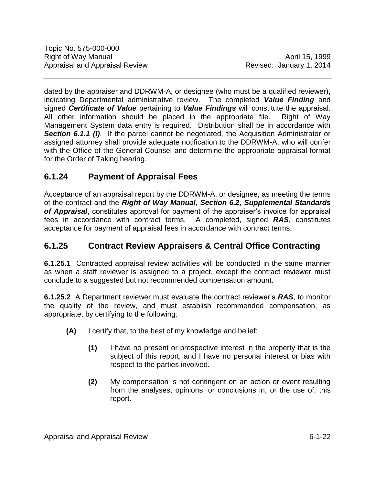dated by the appraiser and DDRWM-A, or designee (who must be a qualified reviewer), indicating Departmental administrative review. The completed *Value Finding* and signed *Certificate of Value* pertaining to *Value Findings* will constitute the appraisal. All other information should be placed in the appropriate file. Right of Way Management System data entry is required. Distribution shall be in accordance with **Section 6.1.1 (I).** If the parcel cannot be negotiated, the Acquisition Administrator or assigned attorney shall provide adequate notification to the DDRWM-A, who will confer with the Office of the General Counsel and determine the appropriate appraisal format for the Order of Taking hearing.

### <span id="page-23-0"></span>**6.1.24 Payment of Appraisal Fees**

Acceptance of an appraisal report by the DDRWM-A, or designee, as meeting the terms of the contract and the *Right of Way Manual*, *Section 6.2*, *Supplemental Standards of Appraisal*, constitutes approval for payment of the appraiser's invoice for appraisal fees in accordance with contract terms. A completed, signed *RAS*, constitutes acceptance for payment of appraisal fees in accordance with contract terms.

### <span id="page-23-1"></span>**6.1.25 Contract Review Appraisers & Central Office Contracting**

**6.1.25.1** Contracted appraisal review activities will be conducted in the same manner as when a staff reviewer is assigned to a project, except the contract reviewer must conclude to a suggested but not recommended compensation amount.

**6.1.25.2** A Department reviewer must evaluate the contract reviewer's *RAS*, to monitor the quality of the review, and must establish recommended compensation, as appropriate, by certifying to the following:

- **(A)** I certify that, to the best of my knowledge and belief:
	- **(1)** I have no present or prospective interest in the property that is the subject of this report, and I have no personal interest or bias with respect to the parties involved.
	- **(2)** My compensation is not contingent on an action or event resulting from the analyses, opinions, or conclusions in, or the use of, this report.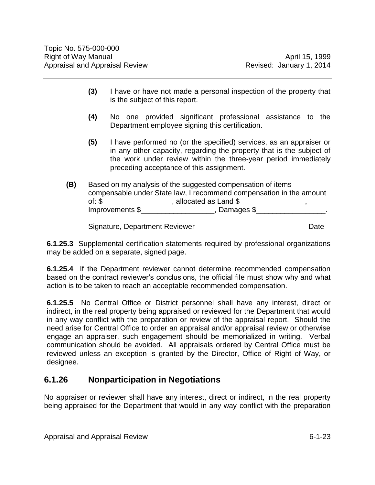- **(3)** I have or have not made a personal inspection of the property that is the subject of this report.
- **(4)** No one provided significant professional assistance to the Department employee signing this certification.
- **(5)** I have performed no (or the specified) services, as an appraiser or in any other capacity, regarding the property that is the subject of the work under review within the three-year period immediately preceding acceptance of this assignment.
- **(B)** Based on my analysis of the suggested compensation of items compensable under State law, I recommend compensation in the amount of:  $\frac{1}{2}$  , allocated as Land  $\frac{1}{2}$  ,  $\frac{1}{2}$  ,  $\frac{1}{2}$  ,  $\frac{1}{2}$  ,  $\frac{1}{2}$  ,  $\frac{1}{2}$  ,  $\frac{1}{2}$  ,  $\frac{1}{2}$  ,  $\frac{1}{2}$  ,  $\frac{1}{2}$  ,  $\frac{1}{2}$  ,  $\frac{1}{2}$  ,  $\frac{1}{2}$  ,  $\frac{1}{2}$  ,  $\frac{1}{2}$  ,  $\frac{1}{2$ Improvements \$\_\_\_\_\_\_\_\_\_\_\_\_\_\_\_\_\_\_\_, Damages \$\_\_\_\_\_\_\_\_\_\_\_\_\_\_\_.

Signature, Department Reviewer **Date** Date

**6.1.25.3** Supplemental certification statements required by professional organizations may be added on a separate, signed page.

**6.1.25.4** If the Department reviewer cannot determine recommended compensation based on the contract reviewer's conclusions, the official file must show why and what action is to be taken to reach an acceptable recommended compensation.

**6.1.25.5** No Central Office or District personnel shall have any interest, direct or indirect, in the real property being appraised or reviewed for the Department that would in any way conflict with the preparation or review of the appraisal report. Should the need arise for Central Office to order an appraisal and/or appraisal review or otherwise engage an appraiser, such engagement should be memorialized in writing. Verbal communication should be avoided. All appraisals ordered by Central Office must be reviewed unless an exception is granted by the Director, Office of Right of Way, or designee.

#### <span id="page-24-0"></span>**6.1.26 Nonparticipation in Negotiations**

No appraiser or reviewer shall have any interest, direct or indirect, in the real property being appraised for the Department that would in any way conflict with the preparation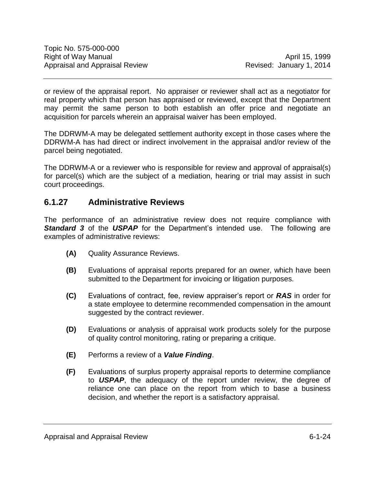or review of the appraisal report. No appraiser or reviewer shall act as a negotiator for real property which that person has appraised or reviewed, except that the Department may permit the same person to both establish an offer price and negotiate an acquisition for parcels wherein an appraisal waiver has been employed.

The DDRWM-A may be delegated settlement authority except in those cases where the DDRWM-A has had direct or indirect involvement in the appraisal and/or review of the parcel being negotiated.

The DDRWM-A or a reviewer who is responsible for review and approval of appraisal(s) for parcel(s) which are the subject of a mediation, hearing or trial may assist in such court proceedings.

#### <span id="page-25-0"></span>**6.1.27 Administrative Reviews**

The performance of an administrative review does not require compliance with **Standard 3** of the USPAP for the Department's intended use. The following are examples of administrative reviews:

- **(A)** Quality Assurance Reviews.
- **(B)** Evaluations of appraisal reports prepared for an owner, which have been submitted to the Department for invoicing or litigation purposes.
- **(C)** Evaluations of contract, fee, review appraiser's report or *RAS* in order for a state employee to determine recommended compensation in the amount suggested by the contract reviewer.
- **(D)** Evaluations or analysis of appraisal work products solely for the purpose of quality control monitoring, rating or preparing a critique.
- **(E)** Performs a review of a *Value Finding*.
- **(F)** Evaluations of surplus property appraisal reports to determine compliance to *USPAP*, the adequacy of the report under review, the degree of reliance one can place on the report from which to base a business decision, and whether the report is a satisfactory appraisal.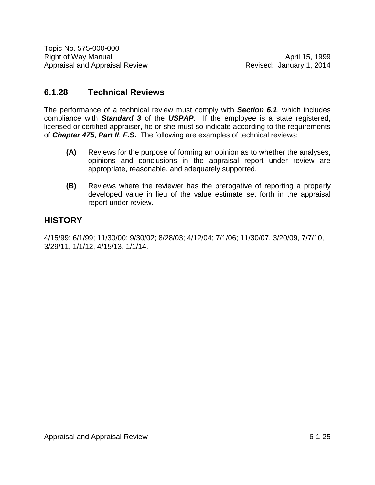### <span id="page-26-0"></span>**6.1.28 Technical Reviews**

The performance of a technical review must comply with *Section 6.1*, which includes compliance with *Standard 3* of the *USPAP*. If the employee is a state registered, licensed or certified appraiser, he or she must so indicate according to the requirements of *Chapter 475*, *Part II*, *F.S***.** The following are examples of technical reviews:

- **(A)** Reviews for the purpose of forming an opinion as to whether the analyses, opinions and conclusions in the appraisal report under review are appropriate, reasonable, and adequately supported.
- **(B)** Reviews where the reviewer has the prerogative of reporting a properly developed value in lieu of the value estimate set forth in the appraisal report under review.

### <span id="page-26-1"></span>**HISTORY**

4/15/99; 6/1/99; 11/30/00; 9/30/02; 8/28/03; 4/12/04; 7/1/06; 11/30/07, 3/20/09, 7/7/10, 3/29/11, 1/1/12, 4/15/13, 1/1/14.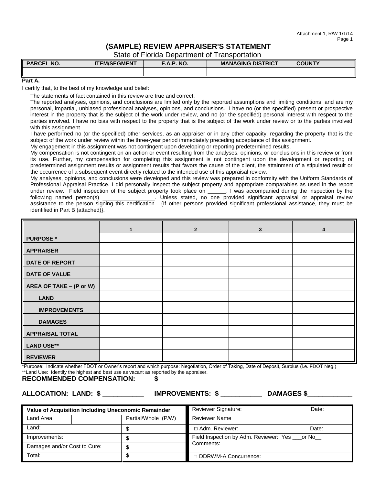#### **(SAMPLE) REVIEW APPRAISER'S STATEMENT**

State of Florida Department of Transportation

| . NO.<br><b>I PARCEL</b> | <b>ITEM/SEGMENT</b> | . NO.<br>D<br>.A.F | <b>DISTRICT</b><br><b>MANAGING</b> | <b>COUNTY</b> |
|--------------------------|---------------------|--------------------|------------------------------------|---------------|
|                          |                     |                    |                                    |               |

#### **Part A.**

I certify that, to the best of my knowledge and belief:

The statements of fact contained in this review are true and correct.

The reported analyses, opinions, and conclusions are limited only by the reported assumptions and limiting conditions, and are my personal, impartial, unbiased professional analyses, opinions, and conclusions. I have no (or the specified) present or prospective interest in the property that is the subject of the work under review, and no (or the specified) personal interest with respect to the parties involved. I have no bias with respect to the property that is the subject of the work under review or to the parties involved with this assignment.

I have performed no (or the specified) other services, as an appraiser or in any other capacity, regarding the property that is the subject of the work under review within the three-year period immediately preceding acceptance of this assignment.

My engagement in this assignment was not contingent upon developing or reporting predetermined results.

My compensation is not contingent on an action or event resulting from the analyses, opinions, or conclusions in this review or from its use. Further, my compensation for completing this assignment is not contingent upon the development or reporting of predetermined assignment results or assignment results that favors the cause of the client, the attainment of a stipulated result or the occurrence of a subsequent event directly related to the intended use of this appraisal review.

My analyses, opinions, and conclusions were developed and this review was prepared in conformity with the Uniform Standards of Professional Appraisal Practice. I did personally inspect the subject property and appropriate comparables as used in the report under review. Field inspection of the subject property took place on \_\_\_\_\_\_. I was accompanied during the inspection by the following named person(s) \_\_\_\_\_\_\_\_\_\_\_\_\_\_\_\_\_. Unless stated, no one provided significant appraisal or appraisal review assistance to the person signing this certification. {If other persons provided significant professional assistance, they must be identified in Part B (attached)}.

|                         | $\overline{2}$ | 3 | 4 |
|-------------------------|----------------|---|---|
| <b>PURPOSE</b> *        |                |   |   |
| <b>APPRAISER</b>        |                |   |   |
| <b>DATE OF REPORT</b>   |                |   |   |
| <b>DATE OF VALUE</b>    |                |   |   |
| AREA OF TAKE - (P or W) |                |   |   |
| <b>LAND</b>             |                |   |   |
| <b>IMPROVEMENTS</b>     |                |   |   |
| <b>DAMAGES</b>          |                |   |   |
| <b>APPRAISAL TOTAL</b>  |                |   |   |
| <b>LAND USE**</b>       |                |   |   |
| <b>REVIEWER</b>         |                |   |   |

\*Purpose: Indicate whether FDOT or Owner's report and which purpose: Negotiation, Order of Taking, Date of Deposit, Surplus (i.e. FDOT Neg.) \*\*Land Use: Identify the highest and best use as vacant as reported by the appraiser.

#### **RECOMMENDED COMPENSATION: \$**

**ALLOCATION: LAND: \$ \_\_\_\_\_\_\_\_\_\_\_ IMPROVEMENTS: \$ \_\_\_\_\_\_\_\_\_\_\_ DAMAGES \$\_\_\_\_\_\_\_\_\_\_\_\_**

|                              | Value of Acquisition Including Uneconomic Remainder | Reviewer Signature:                                             | Date: |
|------------------------------|-----------------------------------------------------|-----------------------------------------------------------------|-------|
| Land Area:                   | Partial/Whole (P/W)                                 | <b>Reviewer Name</b>                                            |       |
| Land:                        |                                                     | $\sqcap$ Adm. Reviewer:                                         | Date: |
| Improvements:                |                                                     | Field Inspection by Adm. Reviewer: Yes ___ or No__<br>Comments: |       |
| Damages and/or Cost to Cure: |                                                     |                                                                 |       |
| Total:                       |                                                     | □ DDRWM-A Concurrence:                                          |       |